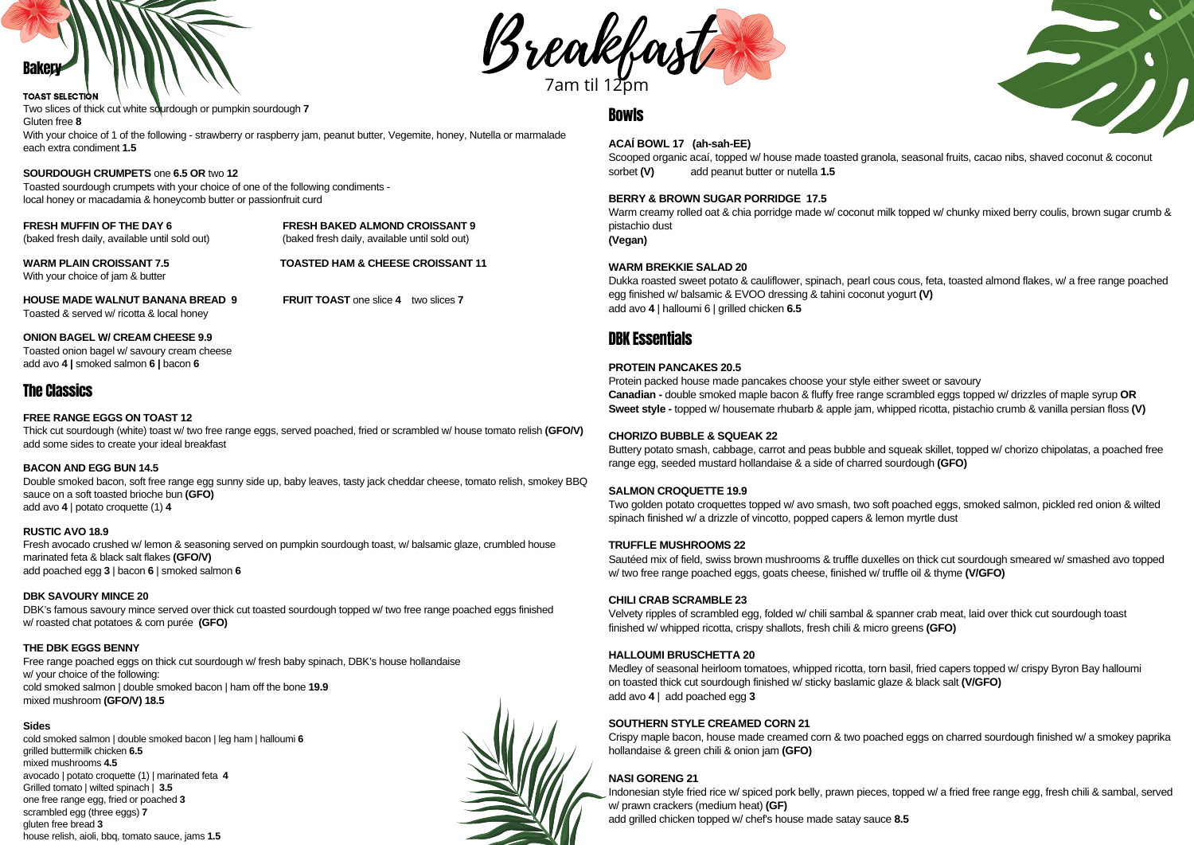



Two slices of thick cut white sourdough or pumpkin sourdough **7** Gluten free **8**

With your choice of 1 of the following - strawberry or raspberry jam, peanut butter, Vegemite, honey, Nutella or marmalade each extra condiment **1.5**

### **SOURDOUGH CRUMPETS** one **6.5 OR** two **12**

Toasted sourdough crumpets with your choice of one of the following condiments local honey or macadamia & honeycomb butter or passionfruit curd

**FRESH MUFFIN OF THE DAY 6 FRESH BAKED ALMOND CROISSANT 9** (baked fresh daily, available until sold out) (baked fresh daily, available until sold out)

**WARM PLAIN CROISSANT 7.5 TOASTED HAM & CHEESE CROISSANT 11** With your choice of jam & butter

**HOUSE MADE WALNUT BANANA BREAD 9 FRUIT TOAST** one slice **4** two slices **7** Toasted & served w/ ricotta & local honey

#### **ONION BAGEL W/ CREAM CHEESE 9.9**

Toasted onion bagel w/ savoury cream cheese add avo **4 |** smoked salmon **6 |** bacon **6**

### The Classics

#### **FREE RANGE EGGS ON TOAST 12**

Thick cut sourdough (white) toast w/ two free range eggs, served poached, fried or scrambled w/ house tomato relish **(GFO/V)** add some sides to create your ideal breakfast

#### **BACON AND EGG BUN 14.5**

Double smoked bacon, soft free range egg sunny side up, baby leaves, tasty jack cheddar cheese, tomato relish, smokey BBQ sauce on a soft toasted brioche bun **(GFO)** add avo **4** | potato croquette (1) **4**

#### **RUSTIC AVO 18.9**

Fresh avocado crushed w/ lemon & seasoning served on pumpkin sourdough toast, w/ balsamic glaze, crumbled house marinated feta & black salt flakes **(GFO/V)** add poached egg **3** | bacon **6** | smoked salmon **6**

#### **DBK SAVOURY MINCE 20**

DBK's famous savoury mince served over thick cut toasted sourdough topped w/ two free range poached eggs finished w/ roasted chat potatoes & corn purée **(GFO)**

#### **THE DBK EGGS BENNY**

Free range poached eggs on thick cut sourdough w/ fresh baby spinach, DBK's house hollandaise w/ your choice of the following: cold smoked salmon | double smoked bacon | ham off the bone **19.9** mixed mushroom **(GFO/V) 18.5**

#### **Sides**

cold smoked salmon | double smoked bacon | leg ham | halloumi 6 grilled buttermilk chicken **6.5** mixed mushrooms **4.5** avocado | potato croquette (1) | marinated feta **4** Grilled tomato | wilted spinach | **3.5** one free range egg, fried or poached **3** scrambled egg (three eggs) **7** gluten free bread **3** house relish, aioli, bbq, tomato sauce, jams **1.5**



#### **ACAÍ BOWL 17 (ah-sah-EE)**

Scooped organic acaí, topped w/ house made toasted granola, seasonal fruits, cacao nibs, shaved coconut & coconut sorbet **(V)** add peanut butter or nutella **1.5**

#### **BERRY & BROWN SUGAR PORRIDGE 17.5**

Warm creamy rolled oat & chia porridge made w/ coconut milk topped w/ chunky mixed berry coulis, brown sugar crumb & pistachio dust

**(Vegan)**

#### **WARM BREKKIE SALAD 20**

Dukka roasted sweet potato & cauliflower, spinach, pearl cous cous, feta, toasted almond flakes, w/ a free range poached egg finished w/ balsamic & EVOO dressing & tahini coconut yogurt **(V)** add avo **4** | halloumi 6 | grilled chicken **6.5**

## DBK Essentials

### **PROTEIN PANCAKES 20.5**

Protein packed house made pancakes choose your style either sweet or savoury **Canadian -** double smoked maple bacon & fluffy free range scrambled eggs topped w/ drizzles of maple syrup **OR Sweet style -** topped w/ housemate rhubarb & apple jam, whipped ricotta, pistachio crumb & vanilla persian floss **(V)**

#### **CHORIZO BUBBLE & SQUEAK 22**

Buttery potato smash, cabbage, carrot and peas bubble and squeak skillet, topped w/ chorizo chipolatas, a poached free range egg, seeded mustard hollandaise & a side of charred sourdough **(GFO)**

#### **SALMON CROQUETTE 19.9**

Two golden potato croquettes topped w/ avo smash, two soft poached eggs, smoked salmon, pickled red onion & wilted spinach finished w/ a drizzle of vincotto, popped capers & lemon myrtle dust

#### **TRUFFLE MUSHROOMS 22**

Sautéed mix of field, swiss brown mushrooms & truffle duxelles on thick cut sourdough smeared w/ smashed avo topped w/ two free range poached eggs, goats cheese, finished w/ truffle oil & thyme **(V/GFO)**

#### **CHILI CRAB SCRAMBLE 23**

Velvety ripples of scrambled egg, folded w/ chili sambal & spanner crab meat, laid over thick cut sourdough toast finished w/ whipped ricotta, crispy shallots, fresh chili & micro greens **(GFO)**

### **HALLOUMI BRUSCHETTA 20**

Medley of seasonal heirloom tomatoes, whipped ricotta, torn basil, fried capers topped w/ crispy Byron Bay halloumi on toasted thick cut sourdough finished w/ sticky baslamic glaze & black salt **(V/GFO)** add avo **4** | add poached egg **3**

#### **SOUTHERN STYLE CREAMED CORN 21**

Crispy maple bacon, house made creamed corn & two poached eggs on charred sourdough finished w/ a smokey paprika hollandaise & green chili & onion jam **(GFO)**

### **NASI GORENG 21**

Indonesian style fried rice w/ spiced pork belly, prawn pieces, topped w/ a fried free range egg, fresh chili & sambal, served w/ prawn crackers (medium heat) **(GF)** add grilled chicken topped w/ chef's house made satay sauce **8.5**